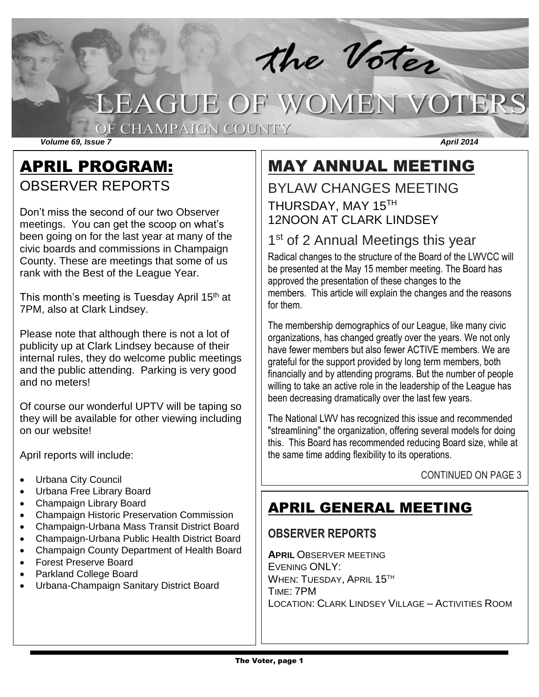# the Voter<br>LEAGUE OF WOMEN VOTERS

OF CHAMPAIGN COUNTY

*Volume 69, Issue 7 April 2014*

## APRIL PROGRAM: OBSERVER REPORTS

Don't miss the second of our two Observer meetings. You can get the scoop on what's been going on for the last year at many of the civic boards and commissions in Champaign County. These are meetings that some of us rank with the Best of the League Year.

This month's meeting is Tuesday April 15<sup>th</sup> at 7PM, also at Clark Lindsey.

Please note that although there is not a lot of publicity up at Clark Lindsey because of their internal rules, they do welcome public meetings and the public attending. Parking is very good and no meters!

Of course our wonderful UPTV will be taping so they will be available for other viewing including on our website!

April reports will include:

- Urbana City Council
- Urbana Free Library Board
- Champaign Library Board
- Champaign Historic Preservation Commission
- Champaign-Urbana Mass Transit District Board
- Champaign-Urbana Public Health District Board
- Champaign County Department of Health Board
- Forest Preserve Board
- Parkland College Board
- Urbana-Champaign Sanitary District Board

# MAY ANNUAL MEETING

## BYLAW CHANGES MEETING THURSDAY, MAY 15TH 12NOON AT CLARK LINDSEY

## 1<sup>st</sup> of 2 Annual Meetings this year

Radical changes to the structure of the Board of the LWVCC will be presented at the May 15 member meeting. The Board has approved the presentation of these changes to the members. This article will explain the changes and the reasons for them.

The membership demographics of our League, like many civic organizations, has changed greatly over the years. We not only have fewer members but also fewer ACTIVE members. We are grateful for the support provided by long term members, both financially and by attending programs. But the number of people willing to take an active role in the leadership of the League has been decreasing dramatically over the last few years.

The National LWV has recognized this issue and recommended "streamlining" the organization, offering several models for doing this. This Board has recommended reducing Board size, while at the same time adding flexibility to its operations.

#### CONTINUED ON PAGE 3

## APRIL GENERAL MEETING

#### **OBSERVER REPORTS**

**APRIL** OBSERVER MEETING EVENING ONLY: WHEN: TUESDAY, APRIL 15TH TIME: 7PM LOCATION: CLARK LINDSEY VILLAGE – ACTIVITIES ROOM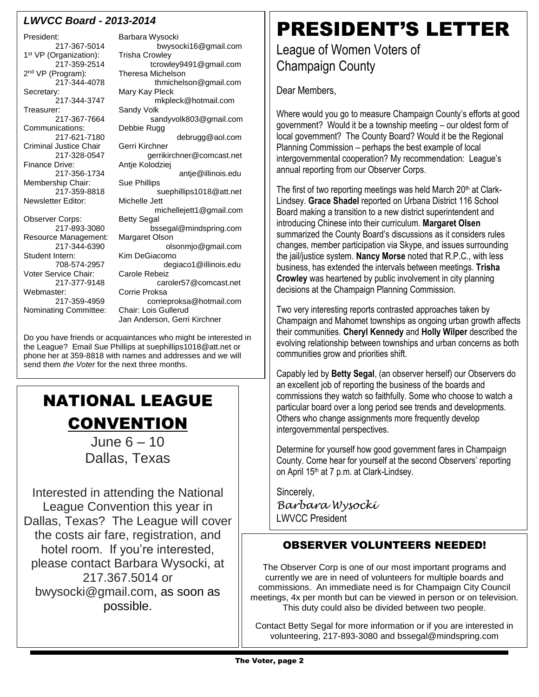#### *LWVCC Board - 2013-2014*

President: Barbara Wysocki 1<sup>st</sup> VP (Organization): Trisha Crowley 2<sup>nd</sup> VP (Program): Secretary: Mary Kay Pleck Communications: Criminal Justice Chair Gerri Kirchner Membership Chair: Sue Phillips Newsletter Editor: Michelle Jett Observer Corps: Resource Management: Margaret Olson Voter Service Chair: Carole Rebeiz Webmaster: Corrie Proksa Nominating Committee: Chair: Lois Gullerud

217-367-5014 bwysocki16@gmail.com 217-359-2514 tcrowley9491@gmail.com nd VP (Program): Theresa Michelson thmichelson@gmail.com 217-344-3747 mkpleck@hotmail.com<br>Treasurer: Sandy Volk Sandy Volk 217-367-7664 sandyvolk803@gmail.com 217-621-7180 debrugg@aol.com 217-328-0547 gerrikirchner@comcast.net<br>Finance Drive: Antie Kolodziej Antje Kolodziej 217-356-1734 antje@illinois.edu 217-359-8818 suephillips1018@att.net michellejett1@gmail.com<br>Bettv Segal 217-893-3080 bssegal@mindspring.com 217-344-6390 olsonmjo@gmail.com Kim DeGiacomo 708-574-2957 degiaco1@illinois.edu 217-377-9148 caroler57@comcast.net 217-359-4959 corrieproksa@hotmail.com Jan Anderson, Gerri Kirchner

Do you have friends or acquaintances who might be interested in the League? Email Sue Phillips at suephillips1018@att.net or phone her at 359-8818 with names and addresses and we will send them *the Voter* for the next three months.

# NATIONAL LEAGUE **CONVENTION**

June 6 – 10 Dallas, Texas

Interested in attending the National League Convention this year in Dallas, Texas? The League will cover the costs air fare, registration, and hotel room. If you're interested, please contact Barbara Wysocki, at 217.367.5014 or bwysocki@gmail.com, as soon as possible.

# PRESIDENT'S LETTER

## League of Women Voters of Champaign County

Dear Members,

Where would you go to measure Champaign County's efforts at good government? Would it be a township meeting – our oldest form of local government? The County Board? Would it be the Regional Planning Commission – perhaps the best example of local intergovernmental cooperation? My recommendation: League's annual reporting from our Observer Corps.

The first of two reporting meetings was held March 20<sup>th</sup> at Clark-Lindsey. **Grace Shadel** reported on Urbana District 116 School Board making a transition to a new district superintendent and introducing Chinese into their curriculum. **Margaret Olsen** summarized the County Board's discussions as it considers rules changes, member participation via Skype, and issues surrounding the jail/justice system. **Nancy Morse** noted that R.P.C., with less business, has extended the intervals between meetings. **Trisha Crowley** was heartened by public involvement in city planning decisions at the Champaign Planning Commission.

Two very interesting reports contrasted approaches taken by Champaign and Mahomet townships as ongoing urban growth affects their communities. **Cheryl Kennedy** and **Holly Wilper** described the evolving relationship between townships and urban concerns as both communities grow and priorities shift.

Capably led by **Betty Segal**, (an observer herself) our Observers do an excellent job of reporting the business of the boards and commissions they watch so faithfully. Some who choose to watch a particular board over a long period see trends and developments. Others who change assignments more frequently develop intergovernmental perspectives.

Determine for yourself how good government fares in Champaign County. Come hear for yourself at the second Observers' reporting on April 15<sup>th</sup> at 7 p.m. at Clark-Lindsey.

Sincerely, *Barbara Wysocki* LWVCC President

#### OBSERVER VOLUNTEERS NEEDED!

The Observer Corp is one of our most important programs and currently we are in need of volunteers for multiple boards and commissions. An immediate need is for Champaign City Council meetings, 4x per month but can be viewed in person or on television. This duty could also be divided between two people.

Contact Betty Segal for more information or if you are interested in volunteering, 217-893-3080 and bssegal@mindspring.com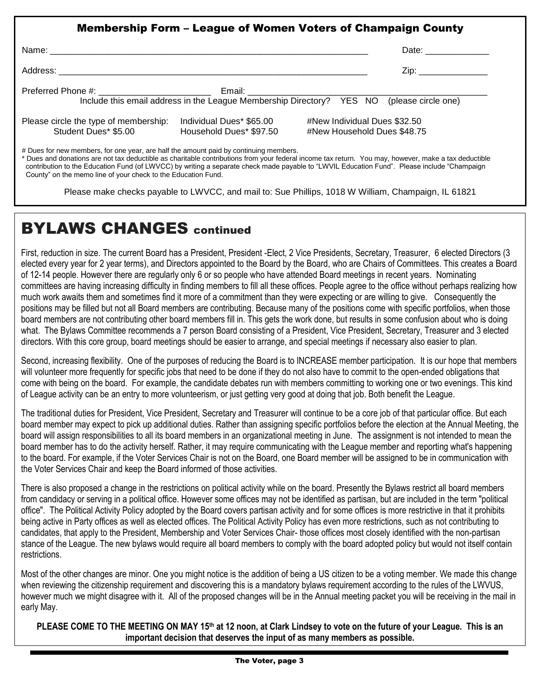|                                                                                       |                                                     | <b>Membership Form – League of Women Voters of Champaign County</b>                                                                                                                                                                                                                                 |
|---------------------------------------------------------------------------------------|-----------------------------------------------------|-----------------------------------------------------------------------------------------------------------------------------------------------------------------------------------------------------------------------------------------------------------------------------------------------------|
|                                                                                       |                                                     | Date: ______________                                                                                                                                                                                                                                                                                |
|                                                                                       |                                                     | Zip: _______________                                                                                                                                                                                                                                                                                |
|                                                                                       |                                                     | Include this email address in the League Membership Directory? YES NO (please circle one)                                                                                                                                                                                                           |
| Please circle the type of membership:<br>Student Dues* \$5.00                         | Individual Dues* \$65.00<br>Household Dues* \$97.50 | #New Individual Dues \$32.50<br>#New Household Dues \$48.75                                                                                                                                                                                                                                         |
| # Dues for new members, for one year, are half the amount paid by continuing members. |                                                     | * Dues and donations are not tax deductible as charitable contributions from your federal income tax return. You may, however, make a tax deductible<br>contribution to the Education Fund (of LWVCC) by writing a separate check made payable to "LWVIL Education Fund". Please include "Champaign |

County" on the memo line of your check to the Education Fund.

Please make checks payable to LWVCC, and mail to: Sue Phillips, 1018 W William, Champaign, IL 61821

## BYLAWS CHANGES continued

First, reduction in size. The current Board has a President, President -Elect, 2 Vice Presidents, Secretary, Treasurer, 6 elected Directors (3 elected every year for 2 year terms), and Directors appointed to the Board by the Board, who are Chairs of Committees. This creates a Board of 12-14 people. However there are regularly only 6 or so people who have attended Board meetings in recent years. Nominating committees are having increasing difficulty in finding members to fill all these offices. People agree to the office without perhaps realizing how much work awaits them and sometimes find it more of a commitment than they were expecting or are willing to give. Consequently the positions may be filled but not all Board members are contributing. Because many of the positions come with specific portfolios, when those board members are not contributing other board members fill in. This gets the work done, but results in some confusion about who is doing what. The Bylaws Committee recommends a 7 person Board consisting of a President, Vice President, Secretary, Treasurer and 3 elected directors. With this core group, board meetings should be easier to arrange, and special meetings if necessary also easier to plan.

Second, increasing flexibility. One of the purposes of reducing the Board is to INCREASE member participation. It is our hope that members will volunteer more frequently for specific jobs that need to be done if they do not also have to commit to the open-ended obligations that come with being on the board. For example, the candidate debates run with members committing to working one or two evenings. This kind of League activity can be an entry to more volunteerism, or just getting very good at doing that job. Both benefit the League.

The traditional duties for President, Vice President, Secretary and Treasurer will continue to be a core job of that particular office. But each board member may expect to pick up additional duties. Rather than assigning specific portfolios before the election at the Annual Meeting, the board will assign responsibilities to all its board members in an organizational meeting in June. The assignment is not intended to mean the board member has to do the activity herself. Rather, it may require communicating with the League member and reporting what's happening to the board. For example, if the Voter Services Chair is not on the Board, one Board member will be assigned to be in communication with the Voter Services Chair and keep the Board informed of those activities.

There is also proposed a change in the restrictions on political activity while on the board. Presently the Bylaws restrict all board members from candidacy or serving in a political office. However some offices may not be identified as partisan, but are included in the term "political office". The Political Activity Policy adopted by the Board covers partisan activity and for some offices is more restrictive in that it prohibits being active in Party offices as well as elected offices. The Political Activity Policy has even more restrictions, such as not contributing to candidates, that apply to the President, Membership and Voter Services Chair- those offices most closely identified with the non-partisan stance of the League. The new bylaws would require all board members to comply with the board adopted policy but would not itself contain restrictions.

Most of the other changes are minor. One you might notice is the addition of being a US citizen to be a voting member. We made this change when reviewing the citizenship requirement and discovering this is a mandatory bylaws requirement according to the rules of the LWVUS, however much we might disagree with it. All of the proposed changes will be in the Annual meeting packet you will be receiving in the mail in early May.

**PLEASE COME TO THE MEETING ON MAY 15th at 12 noon, at Clark Lindsey to vote on the future of your League. This is an important decision that deserves the input of as many members as possible.**